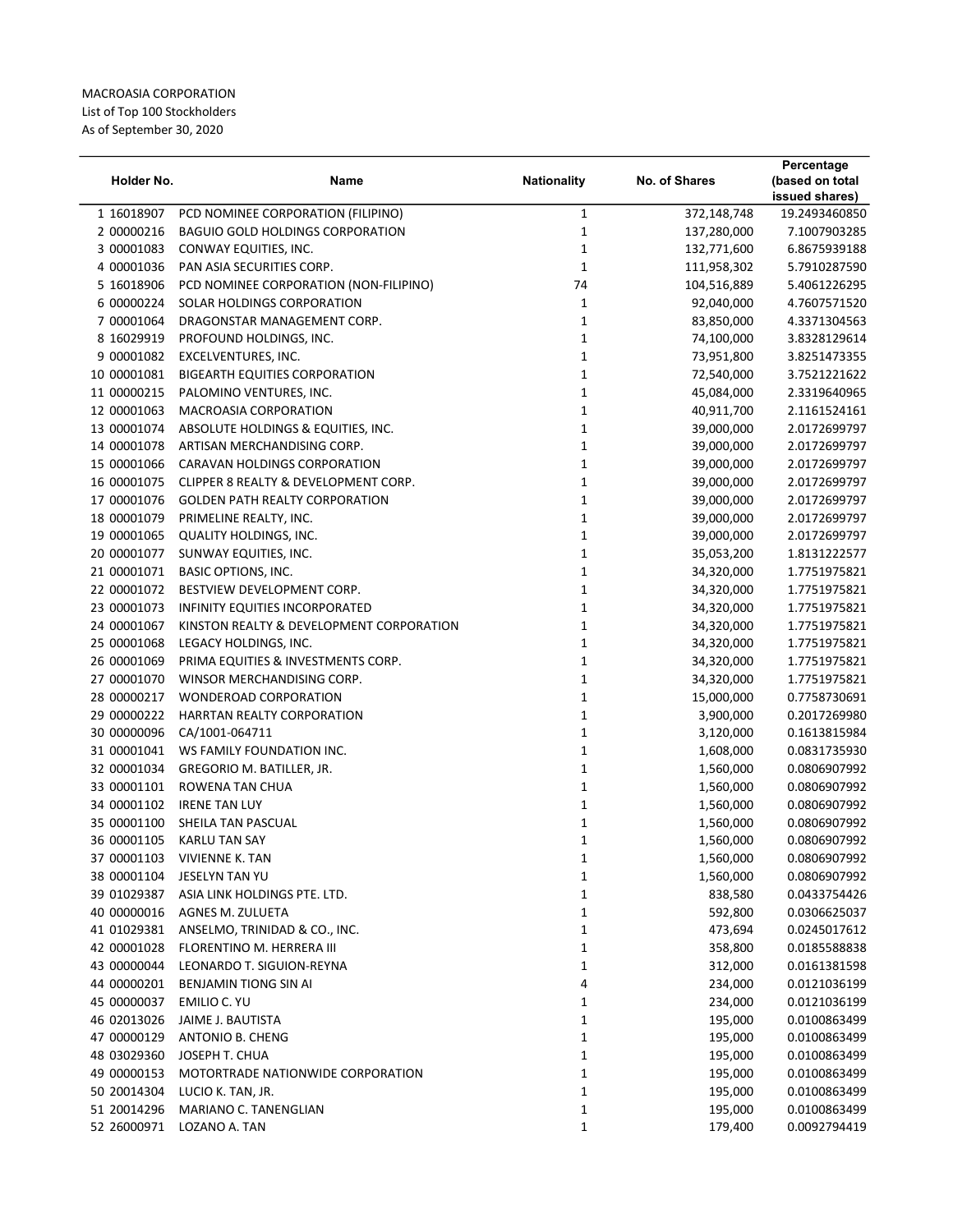MACROASIA CORPORATION List of Top 100 Stockholders As of September 30, 2020

| Holder No.                 | Name                                     | <b>Nationality</b>         | <b>No. of Shares</b> | Percentage<br>(based on total<br>issued shares) |
|----------------------------|------------------------------------------|----------------------------|----------------------|-------------------------------------------------|
| 1 16018907                 | PCD NOMINEE CORPORATION (FILIPINO)       | 1                          | 372,148,748          | 19.2493460850                                   |
| 2 00000216                 | <b>BAGUIO GOLD HOLDINGS CORPORATION</b>  | $\mathbf 1$                | 137,280,000          | 7.1007903285                                    |
| 3 00001083                 | CONWAY EQUITIES, INC.                    | $\mathbf 1$                | 132,771,600          | 6.8675939188                                    |
| 4 00001036                 | PAN ASIA SECURITIES CORP.                | 1                          | 111,958,302          | 5.7910287590                                    |
| 5 16018906                 | PCD NOMINEE CORPORATION (NON-FILIPINO)   | 74                         | 104,516,889          | 5.4061226295                                    |
| 6 00000224                 | SOLAR HOLDINGS CORPORATION               | 1                          | 92,040,000           | 4.7607571520                                    |
| 7 00001064                 | DRAGONSTAR MANAGEMENT CORP.              | 1                          | 83,850,000           | 4.3371304563                                    |
| 8 16029919                 | PROFOUND HOLDINGS, INC.                  | $\mathbf 1$                | 74,100,000           | 3.8328129614                                    |
| 9 00001082                 | EXCELVENTURES, INC.                      | $\mathbf 1$                | 73,951,800           | 3.8251473355                                    |
| 10 00001081                | <b>BIGEARTH EQUITIES CORPORATION</b>     | $\mathbf 1$                | 72,540,000           | 3.7521221622                                    |
| 11 00000215                | PALOMINO VENTURES, INC.                  | $\mathbf 1$                | 45,084,000           | 2.3319640965                                    |
| 12 00001063                | MACROASIA CORPORATION                    | $\mathbf 1$                | 40,911,700           | 2.1161524161                                    |
| 13 00001074                | ABSOLUTE HOLDINGS & EQUITIES, INC.       | $\mathbf 1$                | 39,000,000           | 2.0172699797                                    |
| 14 00001078                | ARTISAN MERCHANDISING CORP.              | 1                          | 39,000,000           | 2.0172699797                                    |
| 15 00001066                | CARAVAN HOLDINGS CORPORATION             | 1                          | 39,000,000           | 2.0172699797                                    |
| 16 00001075                | CLIPPER 8 REALTY & DEVELOPMENT CORP.     | $\mathbf 1$                | 39,000,000           | 2.0172699797                                    |
| 17 00001076                | <b>GOLDEN PATH REALTY CORPORATION</b>    | $\mathbf 1$                | 39,000,000           | 2.0172699797                                    |
| 18 00001079                | PRIMELINE REALTY, INC.                   | 1                          | 39,000,000           | 2.0172699797                                    |
| 19 00001065                | <b>QUALITY HOLDINGS, INC.</b>            | 1                          | 39,000,000           | 2.0172699797                                    |
| 20 00001077                | SUNWAY EQUITIES, INC.                    | $\mathbf 1$                | 35,053,200           | 1.8131222577                                    |
| 21 00001071                | <b>BASIC OPTIONS, INC.</b>               | 1                          | 34,320,000           | 1.7751975821                                    |
| 22 00001072                | BESTVIEW DEVELOPMENT CORP.               | $\mathbf 1$                | 34,320,000           | 1.7751975821                                    |
| 23 00001073                | <b>INFINITY EQUITIES INCORPORATED</b>    | $\mathbf 1$                | 34,320,000           | 1.7751975821                                    |
| 24 00001067                |                                          | $\mathbf 1$                |                      | 1.7751975821                                    |
|                            | KINSTON REALTY & DEVELOPMENT CORPORATION |                            | 34,320,000           |                                                 |
| 25 00001068<br>26 00001069 | LEGACY HOLDINGS, INC.                    | $\mathbf 1$<br>$\mathbf 1$ | 34,320,000           | 1.7751975821                                    |
|                            | PRIMA EQUITIES & INVESTMENTS CORP.       |                            | 34,320,000           | 1.7751975821                                    |
| 27 00001070                | WINSOR MERCHANDISING CORP.               | 1                          | 34,320,000           | 1.7751975821                                    |
| 28 00000217                | WONDEROAD CORPORATION                    | 1                          | 15,000,000           | 0.7758730691                                    |
| 29 00000222                | HARRTAN REALTY CORPORATION               | 1                          | 3,900,000            | 0.2017269980                                    |
| 30 00000096                | CA/1001-064711                           | 1                          | 3,120,000            | 0.1613815984                                    |
| 31 00001041                | WS FAMILY FOUNDATION INC.                | 1                          | 1,608,000            | 0.0831735930                                    |
| 32 00001034                | GREGORIO M. BATILLER, JR.                | 1                          | 1,560,000            | 0.0806907992                                    |
| 33 00001101                | ROWENA TAN CHUA                          | 1                          | 1,560,000            | 0.0806907992                                    |
| 34 00001102                | <b>IRENE TAN LUY</b>                     | 1                          | 1,560,000            | 0.0806907992                                    |
| 35 00001100                | SHEILA TAN PASCUAL                       | 1                          | 1,560,000            | 0.0806907992                                    |
| 36 00001105                | KARLU TAN SAY                            | 1                          | 1,560,000            | 0.0806907992                                    |
| 37 00001103                | <b>VIVIENNE K. TAN</b>                   | 1                          | 1,560,000            | 0.0806907992                                    |
| 38 00001104                | JESELYN TAN YU                           | 1                          | 1,560,000            | 0.0806907992                                    |
| 39 01029387                | ASIA LINK HOLDINGS PTE. LTD.             | $\mathbf 1$                | 838,580              | 0.0433754426                                    |
| 40 00000016                | AGNES M. ZULUETA                         | $\mathbf 1$                | 592,800              | 0.0306625037                                    |
| 41 01029381                | ANSELMO, TRINIDAD & CO., INC.            | 1                          | 473,694              | 0.0245017612                                    |
| 42 00001028                | FLORENTINO M. HERRERA III                | 1                          | 358,800              | 0.0185588838                                    |
| 43 00000044                | LEONARDO T. SIGUION-REYNA                | 1                          | 312,000              | 0.0161381598                                    |
| 44 00000201                | <b>BENJAMIN TIONG SIN AI</b>             | 4                          | 234,000              | 0.0121036199                                    |
| 45 00000037                | EMILIO C. YU                             | 1                          | 234,000              | 0.0121036199                                    |
| 46 02013026                | JAIME J. BAUTISTA                        | 1                          | 195,000              | 0.0100863499                                    |
| 47 00000129                | ANTONIO B. CHENG                         | 1                          | 195,000              | 0.0100863499                                    |
| 48 03029360                | JOSEPH T. CHUA                           | 1                          | 195,000              | 0.0100863499                                    |
| 49 00000153                | MOTORTRADE NATIONWIDE CORPORATION        | $\mathbf 1$                | 195,000              | 0.0100863499                                    |
| 50 20014304                | LUCIO K. TAN, JR.                        | $\mathbf 1$                | 195,000              | 0.0100863499                                    |
| 51 20014296                | MARIANO C. TANENGLIAN                    | 1                          | 195,000              | 0.0100863499                                    |
| 52 26000971                | LOZANO A. TAN                            | 1                          | 179,400              | 0.0092794419                                    |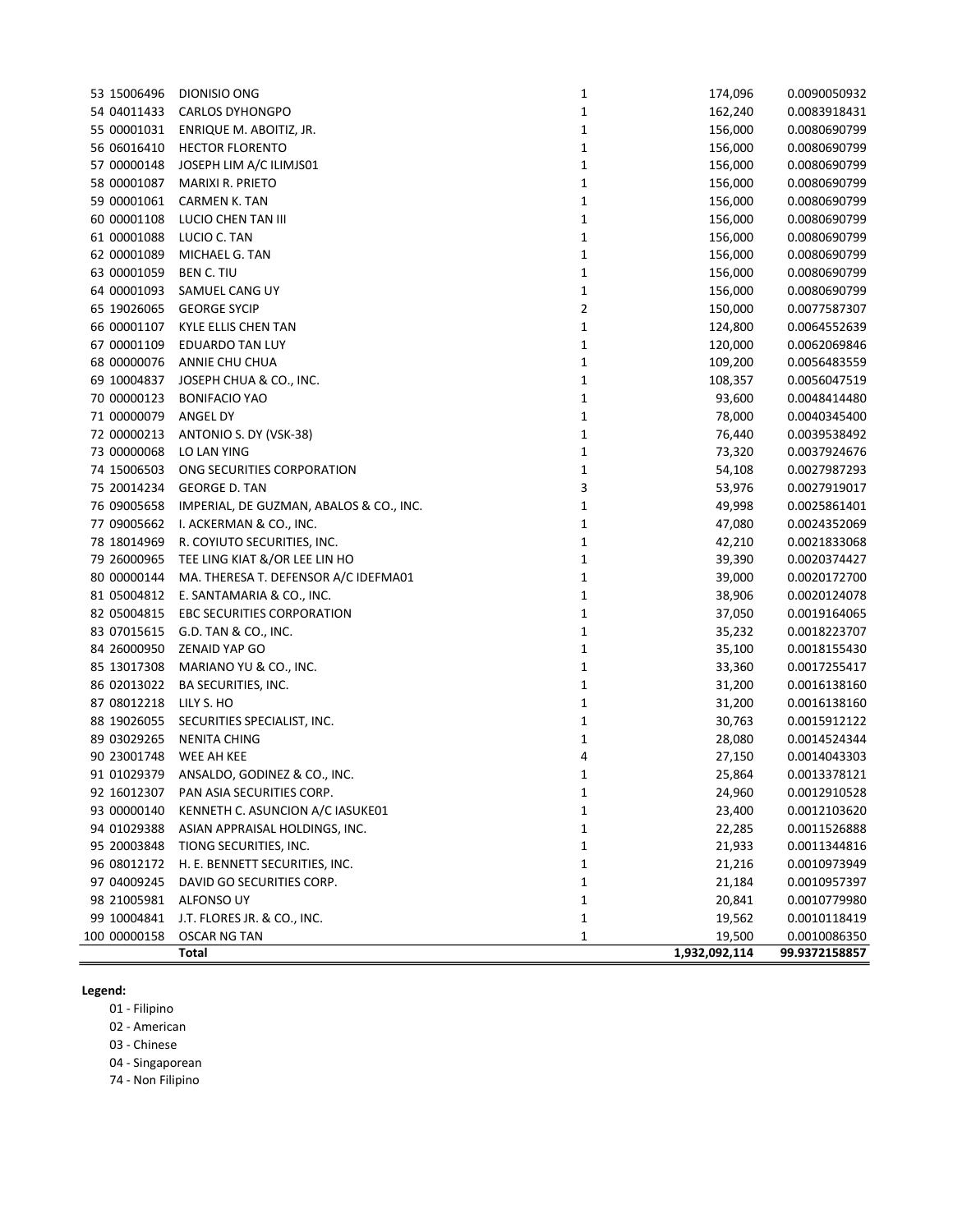| 53 15006496  | <b>DIONISIO ONG</b>                     | $\mathbf{1}$   | 174,096       | 0.0090050932  |
|--------------|-----------------------------------------|----------------|---------------|---------------|
| 54 04011433  | <b>CARLOS DYHONGPO</b>                  | $\mathbf{1}$   | 162,240       | 0.0083918431  |
| 55 00001031  | ENRIQUE M. ABOITIZ, JR.                 | $\mathbf{1}$   | 156,000       | 0.0080690799  |
| 56 06016410  | <b>HECTOR FLORENTO</b>                  | $\mathbf{1}$   | 156,000       | 0.0080690799  |
| 57 00000148  | JOSEPH LIM A/C ILIMJS01                 | $\mathbf{1}$   | 156,000       | 0.0080690799  |
| 58 00001087  | MARIXI R. PRIETO                        | $\mathbf{1}$   | 156,000       | 0.0080690799  |
| 59 00001061  | <b>CARMEN K. TAN</b>                    | $\mathbf{1}$   | 156,000       | 0.0080690799  |
| 60 00001108  | LUCIO CHEN TAN III                      | $\mathbf{1}$   | 156,000       | 0.0080690799  |
| 61 00001088  | LUCIO C. TAN                            | $\mathbf{1}$   | 156,000       | 0.0080690799  |
| 62 00001089  | MICHAEL G. TAN                          | $\mathbf{1}$   | 156,000       | 0.0080690799  |
| 63 00001059  | BEN C. TIU                              | $\mathbf{1}$   | 156,000       | 0.0080690799  |
| 64 00001093  | SAMUEL CANG UY                          | $\mathbf 1$    | 156,000       | 0.0080690799  |
| 65 19026065  | <b>GEORGE SYCIP</b>                     | $\overline{2}$ | 150,000       | 0.0077587307  |
| 66 00001107  | KYLE ELLIS CHEN TAN                     | $\mathbf{1}$   | 124,800       | 0.0064552639  |
| 67 00001109  | EDUARDO TAN LUY                         | $\mathbf 1$    | 120,000       | 0.0062069846  |
| 68 00000076  | ANNIE CHU CHUA                          | $\mathbf{1}$   | 109,200       | 0.0056483559  |
| 69 10004837  | JOSEPH CHUA & CO., INC.                 | $\mathbf{1}$   | 108,357       | 0.0056047519  |
| 70 00000123  | <b>BONIFACIO YAO</b>                    | $\mathbf{1}$   | 93,600        | 0.0048414480  |
| 71 00000079  | ANGEL DY                                | $\mathbf{1}$   | 78,000        | 0.0040345400  |
| 72 00000213  | ANTONIO S. DY (VSK-38)                  | $\mathbf{1}$   | 76,440        | 0.0039538492  |
| 73 00000068  | LO LAN YING                             | $\mathbf{1}$   | 73,320        | 0.0037924676  |
| 74 15006503  | ONG SECURITIES CORPORATION              | $\mathbf 1$    | 54,108        | 0.0027987293  |
| 75 20014234  | <b>GEORGE D. TAN</b>                    | 3              | 53,976        | 0.0027919017  |
| 76 09005658  | IMPERIAL, DE GUZMAN, ABALOS & CO., INC. | $\mathbf 1$    | 49,998        | 0.0025861401  |
|              | 77 09005662 I. ACKERMAN & CO., INC.     | $\mathbf 1$    | 47,080        | 0.0024352069  |
| 78 18014969  | R. COYIUTO SECURITIES, INC.             | $\mathbf{1}$   | 42,210        | 0.0021833068  |
| 79 26000965  | TEE LING KIAT &/OR LEE LIN HO           | $\mathbf{1}$   | 39,390        | 0.0020374427  |
| 80 00000144  | MA. THERESA T. DEFENSOR A/C IDEFMA01    | $\mathbf{1}$   | 39,000        | 0.0020172700  |
| 81 05004812  | E. SANTAMARIA & CO., INC.               | $\mathbf{1}$   | 38,906        | 0.0020124078  |
| 82 05004815  | EBC SECURITIES CORPORATION              | $\mathbf{1}$   | 37,050        | 0.0019164065  |
| 83 07015615  | G.D. TAN & CO., INC.                    | $\mathbf{1}$   | 35,232        | 0.0018223707  |
| 84 26000950  | ZENAID YAP GO                           | $\mathbf{1}$   | 35,100        | 0.0018155430  |
| 85 13017308  | MARIANO YU & CO., INC.                  | $\mathbf{1}$   | 33,360        | 0.0017255417  |
| 86 02013022  | BA SECURITIES, INC.                     | $\mathbf{1}$   | 31,200        | 0.0016138160  |
| 87 08012218  | LILY S. HO                              | $\mathbf 1$    | 31,200        | 0.0016138160  |
| 88 19026055  | SECURITIES SPECIALIST, INC.             | $\mathbf{1}$   | 30,763        | 0.0015912122  |
| 89 03029265  | <b>NENITA CHING</b>                     | $\mathbf 1$    | 28,080        | 0.0014524344  |
| 90 23001748  | WEE AH KEE                              | 4              | 27,150        | 0.0014043303  |
| 91 01029379  | ANSALDO, GODINEZ & CO., INC.            | $\mathbf{1}$   | 25,864        | 0.0013378121  |
| 92 16012307  | PAN ASIA SECURITIES CORP.               | 1              | 24,960        | 0.0012910528  |
| 93 00000140  | KENNETH C. ASUNCION A/C IASUKE01        | $\mathbf{1}$   | 23,400        | 0.0012103620  |
| 94 01029388  | ASIAN APPRAISAL HOLDINGS, INC.          | $\mathbf{1}$   | 22,285        | 0.0011526888  |
| 95 20003848  | TIONG SECURITIES, INC.                  | $\mathbf{1}$   | 21,933        | 0.0011344816  |
| 96 08012172  | H. E. BENNETT SECURITIES, INC.          | $\mathbf{1}$   | 21,216        | 0.0010973949  |
| 97 04009245  | DAVID GO SECURITIES CORP.               | $\mathbf{1}$   | 21,184        | 0.0010957397  |
| 98 21005981  | ALFONSO UY                              | $\mathbf{1}$   | 20,841        | 0.0010779980  |
| 99 10004841  | J.T. FLORES JR. & CO., INC.             | $\mathbf{1}$   | 19,562        | 0.0010118419  |
| 100 00000158 | <b>OSCAR NG TAN</b>                     | 1              | 19,500        | 0.0010086350  |
|              | Total                                   |                | 1,932,092,114 | 99.9372158857 |
|              |                                         |                |               |               |

## Legend:

01 - Filipino

02 - American

03 - Chinese

04 - Singaporean

74 - Non Filipino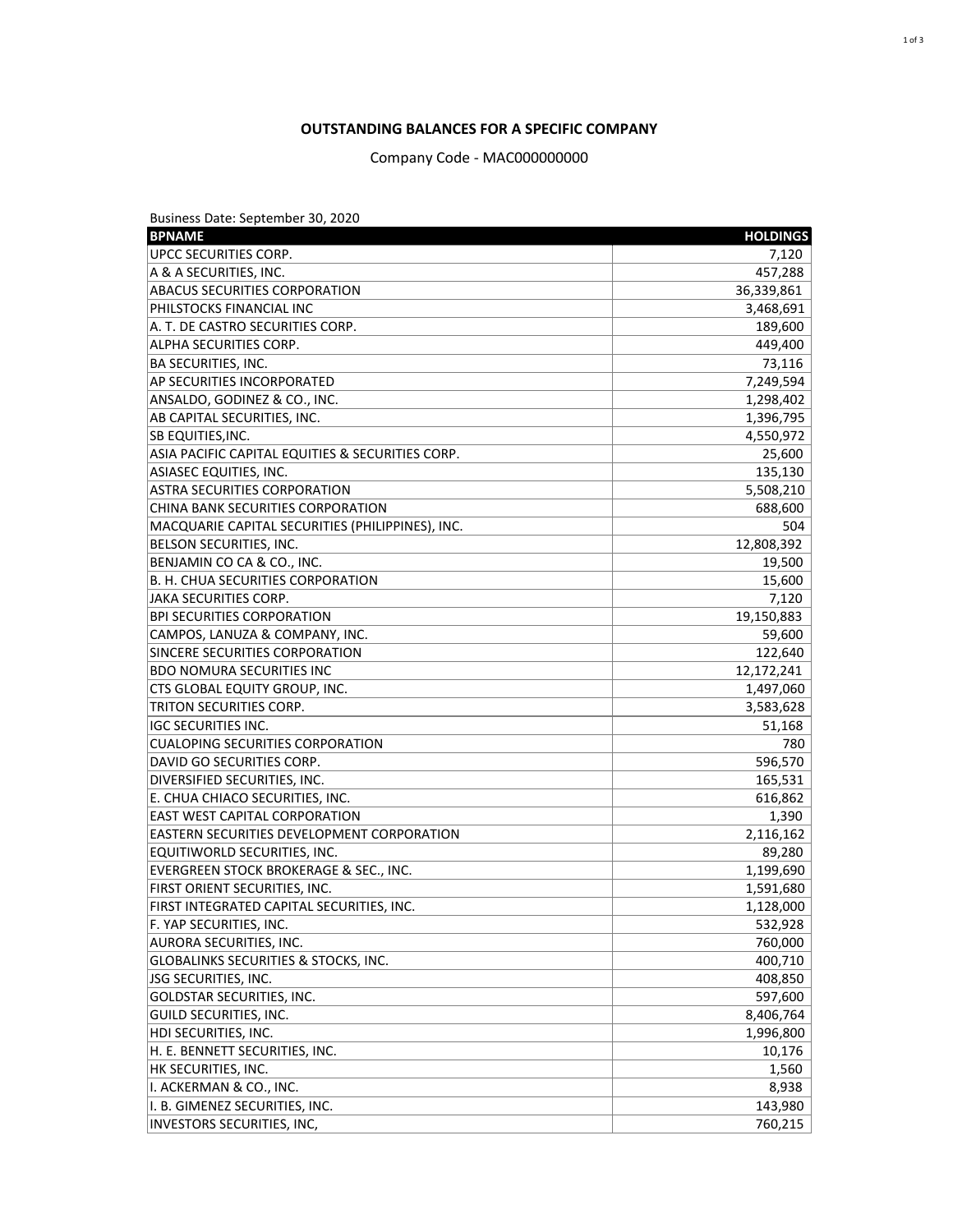Business Date: September 30, 2020

| <b>BPNAME</b>                                     | <b>HOLDINGS</b> |
|---------------------------------------------------|-----------------|
| UPCC SECURITIES CORP.                             | 7,120           |
| A & A SECURITIES, INC.                            | 457,288         |
| <b>ABACUS SECURITIES CORPORATION</b>              | 36,339,861      |
| PHILSTOCKS FINANCIAL INC                          | 3,468,691       |
| A. T. DE CASTRO SECURITIES CORP.                  | 189,600         |
| ALPHA SECURITIES CORP.                            | 449,400         |
| <b>BA SECURITIES, INC.</b>                        | 73,116          |
| AP SECURITIES INCORPORATED                        | 7,249,594       |
| ANSALDO, GODINEZ & CO., INC.                      | 1,298,402       |
| AB CAPITAL SECURITIES, INC.                       | 1,396,795       |
| SB EQUITIES, INC.                                 | 4,550,972       |
| ASIA PACIFIC CAPITAL EQUITIES & SECURITIES CORP.  | 25,600          |
| <b>ASIASEC EQUITIES, INC.</b>                     | 135,130         |
| <b>ASTRA SECURITIES CORPORATION</b>               | 5,508,210       |
| <b>CHINA BANK SECURITIES CORPORATION</b>          | 688,600         |
| MACQUARIE CAPITAL SECURITIES (PHILIPPINES), INC.  | 504             |
| BELSON SECURITIES, INC.                           | 12,808,392      |
| BENJAMIN CO CA & CO., INC.                        | 19,500          |
| <b>B. H. CHUA SECURITIES CORPORATION</b>          | 15,600          |
| <b>JAKA SECURITIES CORP.</b>                      | 7,120           |
| <b>BPI SECURITIES CORPORATION</b>                 | 19,150,883      |
| CAMPOS, LANUZA & COMPANY, INC.                    | 59,600          |
| SINCERE SECURITIES CORPORATION                    | 122,640         |
| <b>BDO NOMURA SECURITIES INC</b>                  | 12,172,241      |
| CTS GLOBAL EQUITY GROUP, INC.                     | 1,497,060       |
| TRITON SECURITIES CORP.                           | 3,583,628       |
| <b>IGC SECURITIES INC.</b>                        | 51,168          |
| <b>CUALOPING SECURITIES CORPORATION</b>           | 780             |
| DAVID GO SECURITIES CORP.                         | 596,570         |
| DIVERSIFIED SECURITIES, INC.                      | 165,531         |
| E. CHUA CHIACO SECURITIES, INC.                   | 616,862         |
| <b>EAST WEST CAPITAL CORPORATION</b>              | 1,390           |
| <b>EASTERN SECURITIES DEVELOPMENT CORPORATION</b> | 2,116,162       |
| EQUITIWORLD SECURITIES, INC.                      | 89,280          |
| <b>EVERGREEN STOCK BROKERAGE &amp; SEC., INC.</b> | 1,199,690       |
| FIRST ORIENT SECURITIES, INC.                     | 1,591,680       |
| FIRST INTEGRATED CAPITAL SECURITIES, INC.         | 1,128,000       |
| F. YAP SECURITIES, INC.                           | 532,928         |
| <b>AURORA SECURITIES, INC.</b>                    | 760,000         |
| <b>GLOBALINKS SECURITIES &amp; STOCKS, INC.</b>   | 400,710         |
| <b>JSG SECURITIES, INC.</b>                       | 408,850         |
| <b>GOLDSTAR SECURITIES, INC.</b>                  | 597,600         |
| <b>GUILD SECURITIES, INC.</b>                     | 8,406,764       |
| HDI SECURITIES, INC.                              | 1,996,800       |
| H. E. BENNETT SECURITIES, INC.                    | 10,176          |
| HK SECURITIES, INC.                               | 1,560           |
| I. ACKERMAN & CO., INC.                           | 8,938           |
| I. B. GIMENEZ SECURITIES, INC.                    | 143,980         |
| INVESTORS SECURITIES, INC,                        | 760,215         |

## **OUTSTANDING BALANCES FOR A SPECIFIC COMPANY**

Company Code - MAC000000000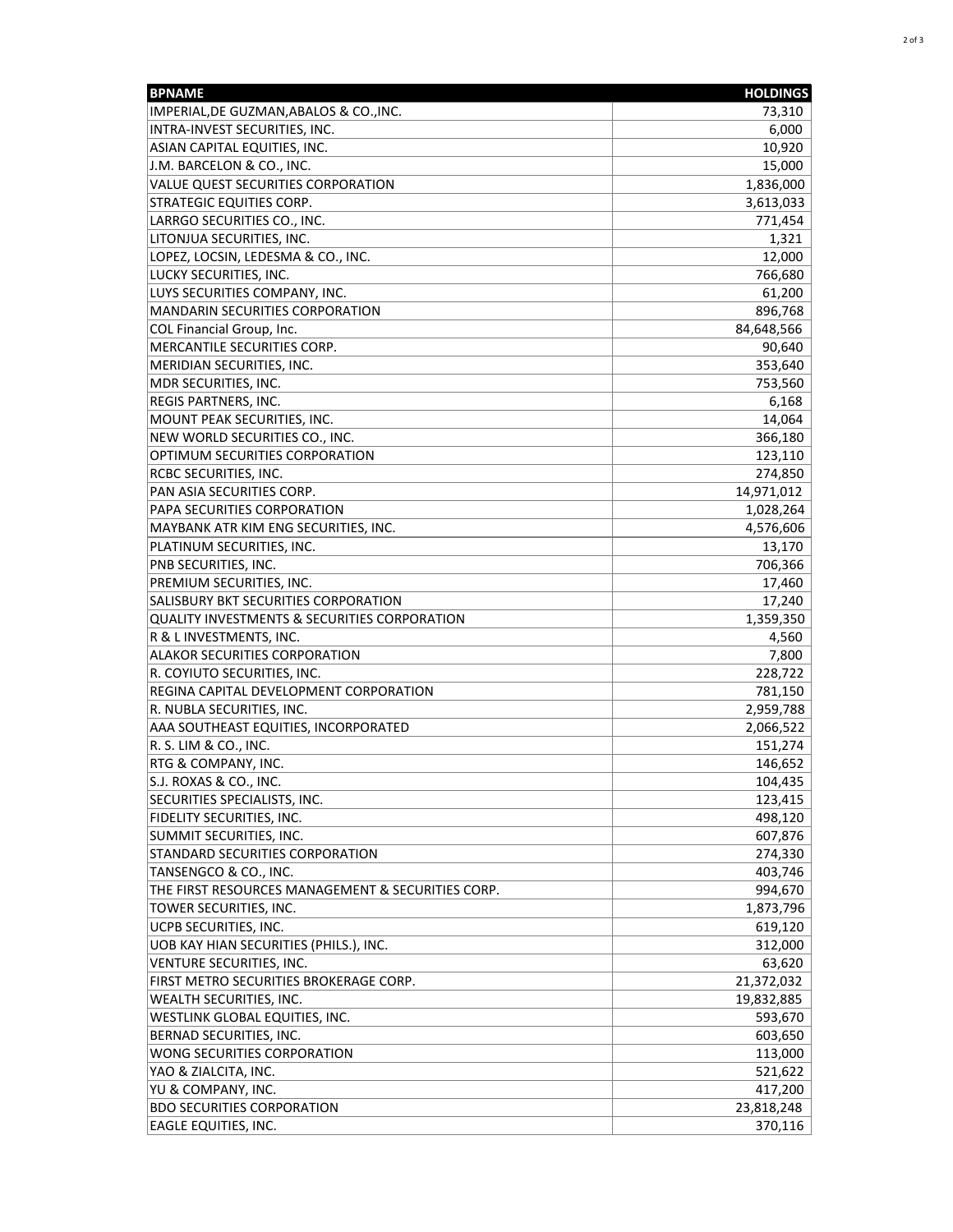| <b>BPNAME</b>                                           | <b>HOLDINGS</b> |
|---------------------------------------------------------|-----------------|
| IMPERIAL, DE GUZMAN, ABALOS & CO., INC.                 | 73,310          |
| INTRA-INVEST SECURITIES, INC.                           | 6,000           |
| ASIAN CAPITAL EQUITIES, INC.                            | 10,920          |
| J.M. BARCELON & CO., INC.                               | 15,000          |
| <b>VALUE QUEST SECURITIES CORPORATION</b>               | 1,836,000       |
| <b>STRATEGIC EQUITIES CORP.</b>                         | 3,613,033       |
| LARRGO SECURITIES CO., INC.                             | 771,454         |
| LITONJUA SECURITIES, INC.                               | 1,321           |
| LOPEZ, LOCSIN, LEDESMA & CO., INC.                      | 12,000          |
| <b>LUCKY SECURITIES, INC.</b>                           | 766,680         |
| LUYS SECURITIES COMPANY, INC.                           | 61,200          |
| <b>MANDARIN SECURITIES CORPORATION</b>                  | 896,768         |
| <b>COL Financial Group, Inc.</b>                        | 84,648,566      |
| <b>MERCANTILE SECURITIES CORP.</b>                      | 90,640          |
| <b>MERIDIAN SECURITIES, INC.</b>                        | 353,640         |
| MDR SECURITIES, INC.                                    | 753,560         |
| REGIS PARTNERS, INC.                                    | 6,168           |
| MOUNT PEAK SECURITIES, INC.                             | 14,064          |
| NEW WORLD SECURITIES CO., INC.                          | 366,180         |
| OPTIMUM SECURITIES CORPORATION                          | 123,110         |
| RCBC SECURITIES, INC.                                   | 274,850         |
| PAN ASIA SECURITIES CORP.                               | 14,971,012      |
| PAPA SECURITIES CORPORATION                             | 1,028,264       |
| MAYBANK ATR KIM ENG SECURITIES, INC.                    | 4,576,606       |
| PLATINUM SECURITIES, INC.                               | 13,170          |
| PNB SECURITIES, INC.                                    | 706,366         |
| PREMIUM SECURITIES, INC.                                | 17,460          |
| SALISBURY BKT SECURITIES CORPORATION                    | 17,240          |
| <b>QUALITY INVESTMENTS &amp; SECURITIES CORPORATION</b> | 1,359,350       |
| R & L INVESTMENTS, INC.                                 | 4,560           |
| <b>ALAKOR SECURITIES CORPORATION</b>                    | 7,800           |
| R. COYIUTO SECURITIES, INC.                             | 228,722         |
| REGINA CAPITAL DEVELOPMENT CORPORATION                  | 781,150         |
| R. NUBLA SECURITIES, INC.                               | 2,959,788       |
| AAA SOUTHEAST EQUITIES, INCORPORATED                    | 2,066,522       |
| R. S. LIM & CO., INC.                                   | 151,274         |
| RTG & COMPANY, INC.                                     | 146,652         |
| S.J. ROXAS & CO., INC.                                  | 104,435         |
| SECURITIES SPECIALISTS, INC.                            | 123,415         |
| FIDELITY SECURITIES, INC.                               | 498,120         |
| <b>SUMMIT SECURITIES, INC.</b>                          | 607,876         |
| STANDARD SECURITIES CORPORATION                         | 274,330         |
| TANSENGCO & CO., INC.                                   | 403,746         |
| THE FIRST RESOURCES MANAGEMENT & SECURITIES CORP.       | 994,670         |
| TOWER SECURITIES, INC.                                  | 1,873,796       |
| UCPB SECURITIES, INC.                                   | 619,120         |
| UOB KAY HIAN SECURITIES (PHILS.), INC.                  | 312,000         |
| <b>VENTURE SECURITIES, INC.</b>                         | 63,620          |
| FIRST METRO SECURITIES BROKERAGE CORP.                  | 21,372,032      |
| <b>WEALTH SECURITIES, INC.</b>                          | 19,832,885      |
| <b>WESTLINK GLOBAL EQUITIES, INC.</b>                   | 593,670         |
| <b>BERNAD SECURITIES, INC.</b>                          | 603,650         |
| <b>WONG SECURITIES CORPORATION</b>                      | 113,000         |
| YAO & ZIALCITA, INC.                                    | 521,622         |
| YU & COMPANY, INC.                                      | 417,200         |
| <b>BDO SECURITIES CORPORATION</b>                       | 23,818,248      |
| <b>EAGLE EQUITIES, INC.</b>                             | 370,116         |